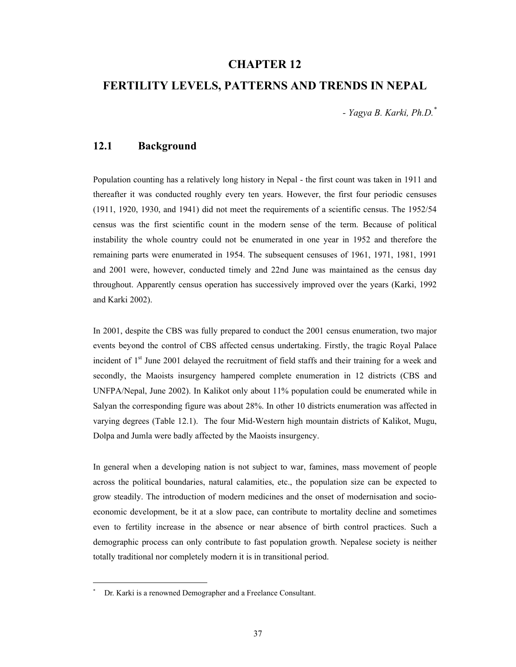### **CHAPTER 12**

# **FERTILITY LEVELS, PATTERNS AND TRENDS IN NEPAL**

*- Yagya B. Karki, Ph.D.\**

### **12.1 Background**

Population counting has a relatively long history in Nepal - the first count was taken in 1911 and thereafter it was conducted roughly every ten years. However, the first four periodic censuses (1911, 1920, 1930, and 1941) did not meet the requirements of a scientific census. The 1952/54 census was the first scientific count in the modern sense of the term. Because of political instability the whole country could not be enumerated in one year in 1952 and therefore the remaining parts were enumerated in 1954. The subsequent censuses of 1961, 1971, 1981, 1991 and 2001 were, however, conducted timely and 22nd June was maintained as the census day throughout. Apparently census operation has successively improved over the years (Karki, 1992 and Karki 2002).

In 2001, despite the CBS was fully prepared to conduct the 2001 census enumeration, two major events beyond the control of CBS affected census undertaking. Firstly, the tragic Royal Palace incident of 1<sup>st</sup> June 2001 delayed the recruitment of field staffs and their training for a week and secondly, the Maoists insurgency hampered complete enumeration in 12 districts (CBS and UNFPA/Nepal, June 2002). In Kalikot only about 11% population could be enumerated while in Salyan the corresponding figure was about 28%. In other 10 districts enumeration was affected in varying degrees (Table 12.1). The four Mid-Western high mountain districts of Kalikot, Mugu, Dolpa and Jumla were badly affected by the Maoists insurgency.

In general when a developing nation is not subject to war, famines, mass movement of people across the political boundaries, natural calamities, etc., the population size can be expected to grow steadily. The introduction of modern medicines and the onset of modernisation and socioeconomic development, be it at a slow pace, can contribute to mortality decline and sometimes even to fertility increase in the absence or near absence of birth control practices. Such a demographic process can only contribute to fast population growth. Nepalese society is neither totally traditional nor completely modern it is in transitional period.

 $\overline{a}$ 

<sup>\*</sup> Dr. Karki is a renowned Demographer and a Freelance Consultant.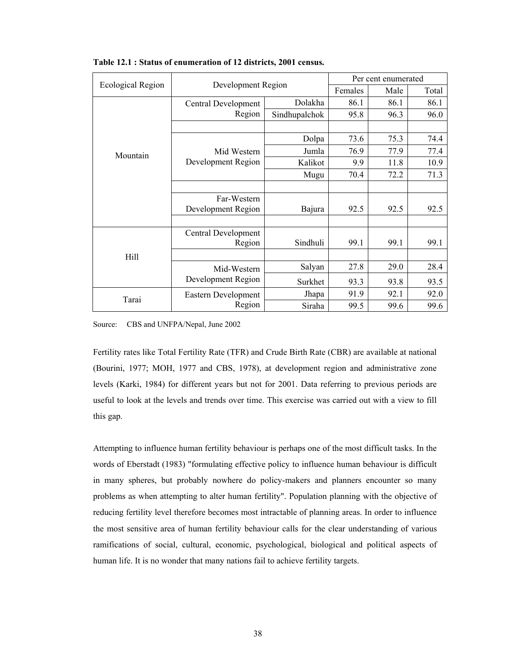|                          |                     | Per cent enumerated |      |       |      |
|--------------------------|---------------------|---------------------|------|-------|------|
| <b>Ecological Region</b> | Development Region  | Females             | Male | Total |      |
|                          | Central Development | Dolakha             | 86.1 | 86.1  | 86.1 |
|                          | Region              | Sindhupalchok       | 95.8 | 96.3  | 96.0 |
|                          |                     |                     |      |       |      |
|                          |                     | Dolpa               | 73.6 | 75.3  | 74.4 |
| Mountain                 | Mid Western         | Jumla               | 76.9 | 77.9  | 77.4 |
|                          | Development Region  | Kalikot             | 9.9  | 11.8  | 10.9 |
|                          |                     | Mugu                | 70.4 | 72.2  | 71.3 |
|                          |                     |                     |      |       |      |
|                          | Far-Western         |                     |      |       |      |
|                          | Development Region  | Bajura              | 92.5 | 92.5  | 92.5 |
|                          |                     |                     |      |       |      |
|                          | Central Development |                     |      |       |      |
|                          | Region              | Sindhuli            | 99.1 | 99.1  | 99.1 |
| Hill                     |                     |                     |      |       |      |
|                          | Mid-Western         | Salyan              | 27.8 | 29.0  | 28.4 |
|                          | Development Region  | Surkhet             | 93.3 | 93.8  | 93.5 |
| Tarai                    | Eastern Development | Jhapa               | 91.9 | 92.1  | 92.0 |
|                          | Region              | Siraha              | 99.5 | 99.6  | 99.6 |

**Table 12.1 : Status of enumeration of 12 districts, 2001 census.** 

Source: CBS and UNFPA/Nepal, June 2002

Fertility rates like Total Fertility Rate (TFR) and Crude Birth Rate (CBR) are available at national (Bourini, 1977; MOH, 1977 and CBS, 1978), at development region and administrative zone levels (Karki, 1984) for different years but not for 2001. Data referring to previous periods are useful to look at the levels and trends over time. This exercise was carried out with a view to fill this gap.

Attempting to influence human fertility behaviour is perhaps one of the most difficult tasks. In the words of Eberstadt (1983) "formulating effective policy to influence human behaviour is difficult in many spheres, but probably nowhere do policy-makers and planners encounter so many problems as when attempting to alter human fertility". Population planning with the objective of reducing fertility level therefore becomes most intractable of planning areas. In order to influence the most sensitive area of human fertility behaviour calls for the clear understanding of various ramifications of social, cultural, economic, psychological, biological and political aspects of human life. It is no wonder that many nations fail to achieve fertility targets.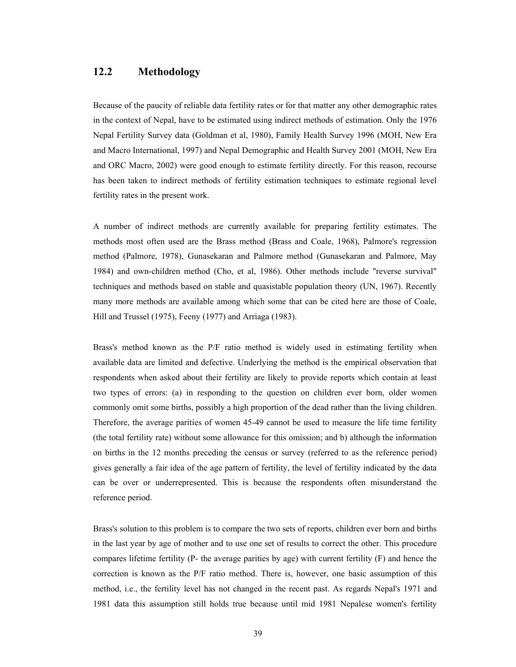# **12.2 Methodology**

Because of the paucity of reliable data fertility rates or for that matter any other demographic rates in the context of Nepal, have to be estimated using indirect methods of estimation. Only the 1976 Nepal Fertility Survey data (Goldman et al, 1980), Family Health Survey 1996 (MOH, New Era and Macro International, 1997) and Nepal Demographic and Health Survey 2001 (MOH, New Era and ORC Macro, 2002) were good enough to estimate fertility directly. For this reason, recourse has been taken to indirect methods of fertility estimation techniques to estimate regional level fertility rates in the present work.

A number of indirect methods are currently available for preparing fertility estimates. The methods most often used are the Brass method (Brass and Coale, 1968), Palmore's regression method (Palmore, 1978), Gunasekaran and Palmore method (Gunasekaran and Palmore, May 1984) and own-children method (Cho, et al, 1986). Other methods include "reverse survival" techniques and methods based on stable and quasistable population theory (UN, 1967). Recently many more methods are available among which some that can be cited here are those of Coale, Hill and Trussel (1975), Feeny (1977) and Arriaga (1983).

Brass's method known as the P/F ratio method is widely used in estimating fertility when available data are limited and defective. Underlying the method is the empirical observation that respondents when asked about their fertility are likely to provide reports which contain at least two types of errors: (a) in responding to the question on children ever born, older women commonly omit some births, possibly a high proportion of the dead rather than the living children. Therefore, the average parities of women 45-49 cannot be used to measure the life time fertility (the total fertility rate) without some allowance for this omission; and b) although the information on births in the 12 months preceding the census or survey (referred to as the reference period) gives generally a fair idea of the age pattern of fertility, the level of fertility indicated by the data can be over or underrepresented. This is because the respondents often misunderstand the reference period.

Brass's solution to this problem is to compare the two sets of reports, children ever born and births in the last year by age of mother and to use one set of results to correct the other. This procedure compares lifetime fertility (P- the average parities by age) with current fertility (F) and hence the correction is known as the P/F ratio method. There is, however, one basic assumption of this method, i.e., the fertility level has not changed in the recent past. As regards Nepal's 1971 and 1981 data this assumption still holds true because until mid 1981 Nepalese women's fertility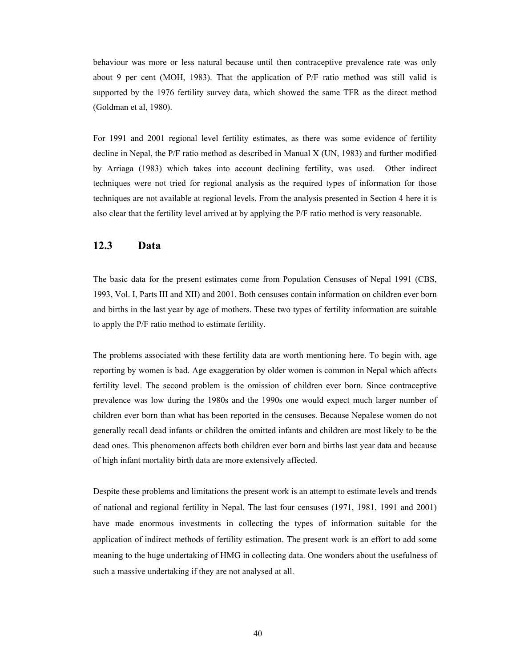behaviour was more or less natural because until then contraceptive prevalence rate was only about 9 per cent (MOH, 1983). That the application of P/F ratio method was still valid is supported by the 1976 fertility survey data, which showed the same TFR as the direct method (Goldman et al, 1980).

For 1991 and 2001 regional level fertility estimates, as there was some evidence of fertility decline in Nepal, the P/F ratio method as described in Manual X (UN, 1983) and further modified by Arriaga (1983) which takes into account declining fertility, was used. Other indirect techniques were not tried for regional analysis as the required types of information for those techniques are not available at regional levels. From the analysis presented in Section 4 here it is also clear that the fertility level arrived at by applying the P/F ratio method is very reasonable.

#### **12.3 Data**

The basic data for the present estimates come from Population Censuses of Nepal 1991 (CBS, 1993, Vol. I, Parts III and XII) and 2001. Both censuses contain information on children ever born and births in the last year by age of mothers. These two types of fertility information are suitable to apply the P/F ratio method to estimate fertility.

The problems associated with these fertility data are worth mentioning here. To begin with, age reporting by women is bad. Age exaggeration by older women is common in Nepal which affects fertility level. The second problem is the omission of children ever born. Since contraceptive prevalence was low during the 1980s and the 1990s one would expect much larger number of children ever born than what has been reported in the censuses. Because Nepalese women do not generally recall dead infants or children the omitted infants and children are most likely to be the dead ones. This phenomenon affects both children ever born and births last year data and because of high infant mortality birth data are more extensively affected.

Despite these problems and limitations the present work is an attempt to estimate levels and trends of national and regional fertility in Nepal. The last four censuses (1971, 1981, 1991 and 2001) have made enormous investments in collecting the types of information suitable for the application of indirect methods of fertility estimation. The present work is an effort to add some meaning to the huge undertaking of HMG in collecting data. One wonders about the usefulness of such a massive undertaking if they are not analysed at all.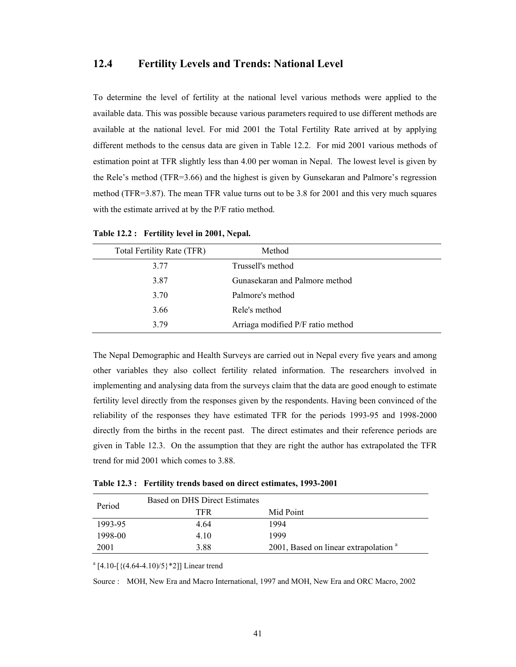### **12.4 Fertility Levels and Trends: National Level**

To determine the level of fertility at the national level various methods were applied to the available data. This was possible because various parameters required to use different methods are available at the national level. For mid 2001 the Total Fertility Rate arrived at by applying different methods to the census data are given in Table 12.2. For mid 2001 various methods of estimation point at TFR slightly less than 4.00 per woman in Nepal. The lowest level is given by the Rele's method (TFR=3.66) and the highest is given by Gunsekaran and Palmore's regression method (TFR=3.87). The mean TFR value turns out to be 3.8 for 2001 and this very much squares with the estimate arrived at by the P/F ratio method.

| Total Fertility Rate (TFR) | Method                            |
|----------------------------|-----------------------------------|
| 3.77                       | Trussell's method                 |
| 3.87                       | Gunasekaran and Palmore method    |
| 3.70                       | Palmore's method                  |
| 3.66                       | Rele's method                     |
| 3.79                       | Arriaga modified P/F ratio method |
|                            |                                   |

**Table 12.2 : Fertility level in 2001, Nepal.** 

The Nepal Demographic and Health Surveys are carried out in Nepal every five years and among other variables they also collect fertility related information. The researchers involved in implementing and analysing data from the surveys claim that the data are good enough to estimate fertility level directly from the responses given by the respondents. Having been convinced of the reliability of the responses they have estimated TFR for the periods 1993-95 and 1998-2000 directly from the births in the recent past. The direct estimates and their reference periods are given in Table 12.3. On the assumption that they are right the author has extrapolated the TFR trend for mid 2001 which comes to 3.88.

**Table 12.3 : Fertility trends based on direct estimates, 1993-2001** 

| Period  | Based on DHS Direct Estimates |                                                  |
|---------|-------------------------------|--------------------------------------------------|
|         | TFR.                          | Mid Point                                        |
| 1993-95 | 4.64                          | 1994                                             |
| 1998-00 | 4 10                          | 1999                                             |
| 2001    | 3.88                          | 2001, Based on linear extrapolation <sup>a</sup> |

 $^{a}$  [4.10-[ $\{(4.64-4.10)/5\}$ \*2]] Linear trend

Source : MOH, New Era and Macro International, 1997 and MOH, New Era and ORC Macro, 2002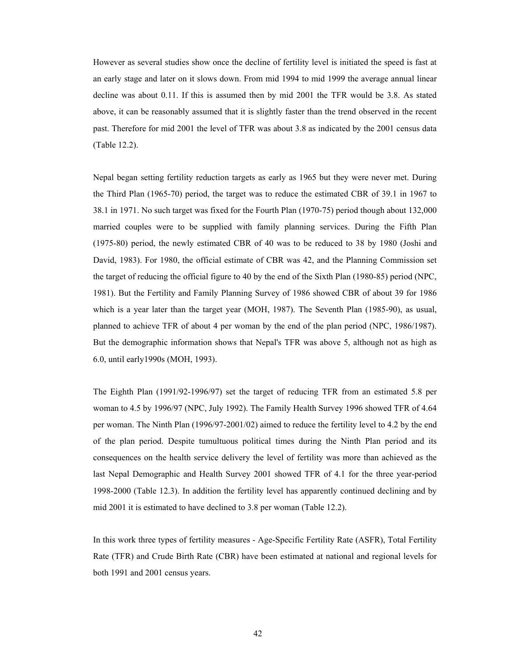However as several studies show once the decline of fertility level is initiated the speed is fast at an early stage and later on it slows down. From mid 1994 to mid 1999 the average annual linear decline was about 0.11. If this is assumed then by mid 2001 the TFR would be 3.8. As stated above, it can be reasonably assumed that it is slightly faster than the trend observed in the recent past. Therefore for mid 2001 the level of TFR was about 3.8 as indicated by the 2001 census data (Table 12.2).

Nepal began setting fertility reduction targets as early as 1965 but they were never met. During the Third Plan (1965-70) period, the target was to reduce the estimated CBR of 39.1 in 1967 to 38.1 in 1971. No such target was fixed for the Fourth Plan (1970-75) period though about 132,000 married couples were to be supplied with family planning services. During the Fifth Plan (1975-80) period, the newly estimated CBR of 40 was to be reduced to 38 by 1980 (Joshi and David, 1983). For 1980, the official estimate of CBR was 42, and the Planning Commission set the target of reducing the official figure to 40 by the end of the Sixth Plan (1980-85) period (NPC, 1981). But the Fertility and Family Planning Survey of 1986 showed CBR of about 39 for 1986 which is a year later than the target year (MOH, 1987). The Seventh Plan (1985-90), as usual, planned to achieve TFR of about 4 per woman by the end of the plan period (NPC, 1986/1987). But the demographic information shows that Nepal's TFR was above 5, although not as high as 6.0, until early1990s (MOH, 1993).

The Eighth Plan (1991/92-1996/97) set the target of reducing TFR from an estimated 5.8 per woman to 4.5 by 1996/97 (NPC, July 1992). The Family Health Survey 1996 showed TFR of 4.64 per woman. The Ninth Plan (1996/97-2001/02) aimed to reduce the fertility level to 4.2 by the end of the plan period. Despite tumultuous political times during the Ninth Plan period and its consequences on the health service delivery the level of fertility was more than achieved as the last Nepal Demographic and Health Survey 2001 showed TFR of 4.1 for the three year-period 1998-2000 (Table 12.3). In addition the fertility level has apparently continued declining and by mid 2001 it is estimated to have declined to 3.8 per woman (Table 12.2).

In this work three types of fertility measures - Age-Specific Fertility Rate (ASFR), Total Fertility Rate (TFR) and Crude Birth Rate (CBR) have been estimated at national and regional levels for both 1991 and 2001 census years.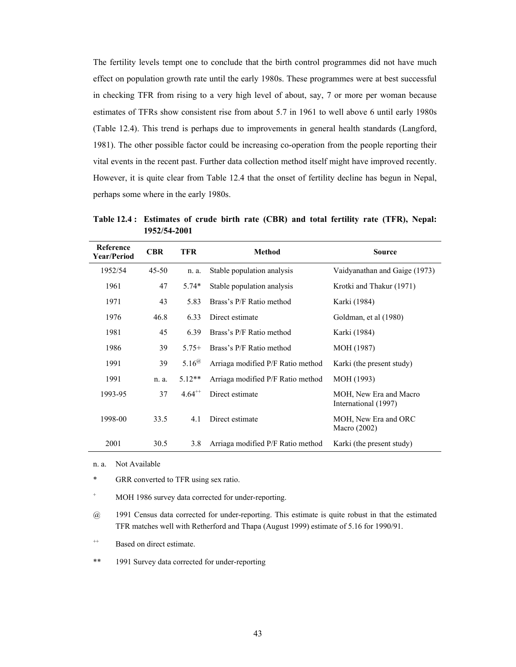The fertility levels tempt one to conclude that the birth control programmes did not have much effect on population growth rate until the early 1980s. These programmes were at best successful in checking TFR from rising to a very high level of about, say, 7 or more per woman because estimates of TFRs show consistent rise from about 5.7 in 1961 to well above 6 until early 1980s (Table 12.4). This trend is perhaps due to improvements in general health standards (Langford, 1981). The other possible factor could be increasing co-operation from the people reporting their vital events in the recent past. Further data collection method itself might have improved recently. However, it is quite clear from Table 12.4 that the onset of fertility decline has begun in Nepal, perhaps some where in the early 1980s.

**Table 12.4 : Estimates of crude birth rate (CBR) and total fertility rate (TFR), Nepal: 1952/54-2001** 

| Reference<br><b>Year/Period</b> | <b>CBR</b> | TFR          | <b>Method</b>                     | <b>Source</b>                                  |
|---------------------------------|------------|--------------|-----------------------------------|------------------------------------------------|
| 1952/54                         | $45 - 50$  | n. a.        | Stable population analysis        | Vaidyanathan and Gaige (1973)                  |
| 1961                            | 47         | $5.74*$      | Stable population analysis        | Krotki and Thakur (1971)                       |
| 1971                            | 43         | 5.83         | Brass's P/F Ratio method          | Karki (1984)                                   |
| 1976                            | 46.8       | 6.33         | Direct estimate                   | Goldman, et al (1980)                          |
| 1981                            | 45         | 6.39         | Brass's P/F Ratio method          | Karki (1984)                                   |
| 1986                            | 39         | $5.75+$      | Brass's P/F Ratio method          | MOH (1987)                                     |
| 1991                            | 39         | $5.16^{(a)}$ | Arriaga modified P/F Ratio method | Karki (the present study)                      |
| 1991                            | n. a.      | $5.12**$     | Arriaga modified P/F Ratio method | MOH (1993)                                     |
| 1993-95                         | 37         | $4.64^{++}$  | Direct estimate                   | MOH, New Era and Macro<br>International (1997) |
| 1998-00                         | 33.5       | 4.1          | Direct estimate                   | MOH, New Era and ORC<br>Macro $(2002)$         |
| 2001                            | 30.5       | 3.8          | Arriaga modified P/F Ratio method | Karki (the present study)                      |

- n. a. Not Available
- \* GRR converted to TFR using sex ratio.
- $+$ MOH 1986 survey data corrected for under-reporting.
- @ 1991 Census data corrected for under-reporting. This estimate is quite robust in that the estimated TFR matches well with Retherford and Thapa (August 1999) estimate of 5.16 for 1990/91.
- <sup>++</sup> Based on direct estimate.
- \*\* 1991 Survey data corrected for under-reporting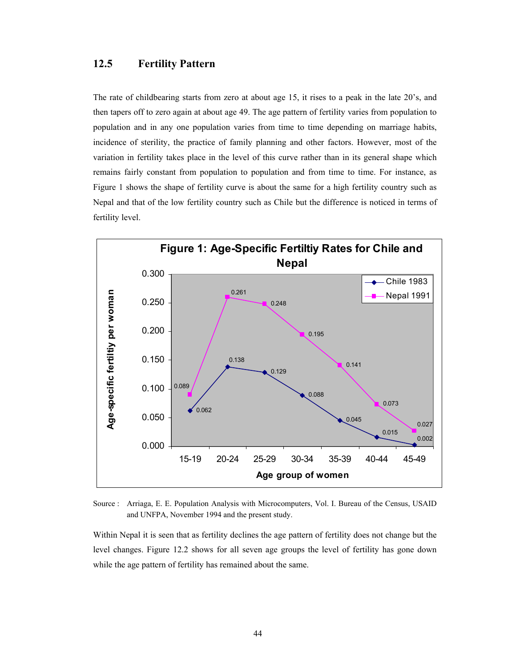# **12.5 Fertility Pattern**

The rate of childbearing starts from zero at about age 15, it rises to a peak in the late 20's, and then tapers off to zero again at about age 49. The age pattern of fertility varies from population to population and in any one population varies from time to time depending on marriage habits, incidence of sterility, the practice of family planning and other factors. However, most of the variation in fertility takes place in the level of this curve rather than in its general shape which remains fairly constant from population to population and from time to time. For instance, as Figure 1 shows the shape of fertility curve is about the same for a high fertility country such as Nepal and that of the low fertility country such as Chile but the difference is noticed in terms of fertility level.



Source : Arriaga, E. E. Population Analysis with Microcomputers, Vol. I. Bureau of the Census, USAID and UNFPA, November 1994 and the present study.

Within Nepal it is seen that as fertility declines the age pattern of fertility does not change but the level changes. Figure 12.2 shows for all seven age groups the level of fertility has gone down while the age pattern of fertility has remained about the same.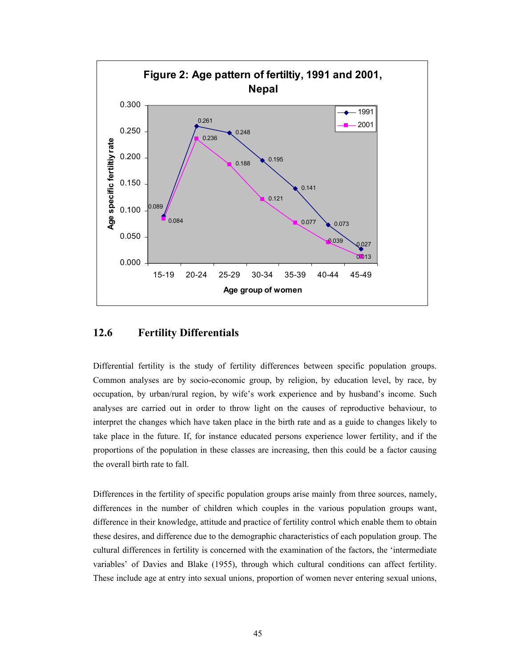

### **12.6 Fertility Differentials**

Differential fertility is the study of fertility differences between specific population groups. Common analyses are by socio-economic group, by religion, by education level, by race, by occupation, by urban/rural region, by wife's work experience and by husband's income. Such analyses are carried out in order to throw light on the causes of reproductive behaviour, to interpret the changes which have taken place in the birth rate and as a guide to changes likely to take place in the future. If, for instance educated persons experience lower fertility, and if the proportions of the population in these classes are increasing, then this could be a factor causing the overall birth rate to fall.

Differences in the fertility of specific population groups arise mainly from three sources, namely, differences in the number of children which couples in the various population groups want, difference in their knowledge, attitude and practice of fertility control which enable them to obtain these desires, and difference due to the demographic characteristics of each population group. The cultural differences in fertility is concerned with the examination of the factors, the 'intermediate variables' of Davies and Blake (1955), through which cultural conditions can affect fertility. These include age at entry into sexual unions, proportion of women never entering sexual unions,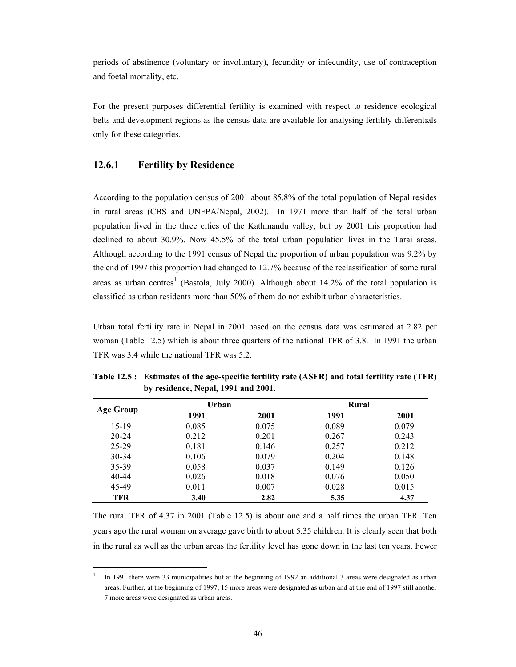periods of abstinence (voluntary or involuntary), fecundity or infecundity, use of contraception and foetal mortality, etc.

For the present purposes differential fertility is examined with respect to residence ecological belts and development regions as the census data are available for analysing fertility differentials only for these categories.

#### **12.6.1 Fertility by Residence**

 $\overline{a}$ 

According to the population census of 2001 about 85.8% of the total population of Nepal resides in rural areas (CBS and UNFPA/Nepal, 2002). In 1971 more than half of the total urban population lived in the three cities of the Kathmandu valley, but by 2001 this proportion had declined to about 30.9%. Now 45.5% of the total urban population lives in the Tarai areas. Although according to the 1991 census of Nepal the proportion of urban population was 9.2% by the end of 1997 this proportion had changed to 12.7% because of the reclassification of some rural areas as urban centres<sup>1</sup> (Bastola, July 2000). Although about 14.2% of the total population is classified as urban residents more than 50% of them do not exhibit urban characteristics.

Urban total fertility rate in Nepal in 2001 based on the census data was estimated at 2.82 per woman (Table 12.5) which is about three quarters of the national TFR of 3.8. In 1991 the urban TFR was 3.4 while the national TFR was 5.2.

|            | Urban |       | <b>Rural</b> |       |
|------------|-------|-------|--------------|-------|
| Age Group  | 1991  | 2001  | 1991         | 2001  |
| $15-19$    | 0.085 | 0.075 | 0.089        | 0.079 |
| $20 - 24$  | 0.212 | 0.201 | 0.267        | 0.243 |
| 25-29      | 0.181 | 0.146 | 0.257        | 0.212 |
| 30-34      | 0.106 | 0.079 | 0.204        | 0.148 |
| 35-39      | 0.058 | 0.037 | 0.149        | 0.126 |
| 40-44      | 0.026 | 0.018 | 0.076        | 0.050 |
| 45-49      | 0.011 | 0.007 | 0.028        | 0.015 |
| <b>TFR</b> | 3.40  | 2.82  | 5.35         | 4.37  |

**Table 12.5 : Estimates of the age-specific fertility rate (ASFR) and total fertility rate (TFR) by residence, Nepal, 1991 and 2001.** 

The rural TFR of 4.37 in 2001 (Table 12.5) is about one and a half times the urban TFR. Ten years ago the rural woman on average gave birth to about 5.35 children. It is clearly seen that both in the rural as well as the urban areas the fertility level has gone down in the last ten years. Fewer

<sup>1</sup> In 1991 there were 33 municipalities but at the beginning of 1992 an additional 3 areas were designated as urban areas. Further, at the beginning of 1997, 15 more areas were designated as urban and at the end of 1997 still another 7 more areas were designated as urban areas.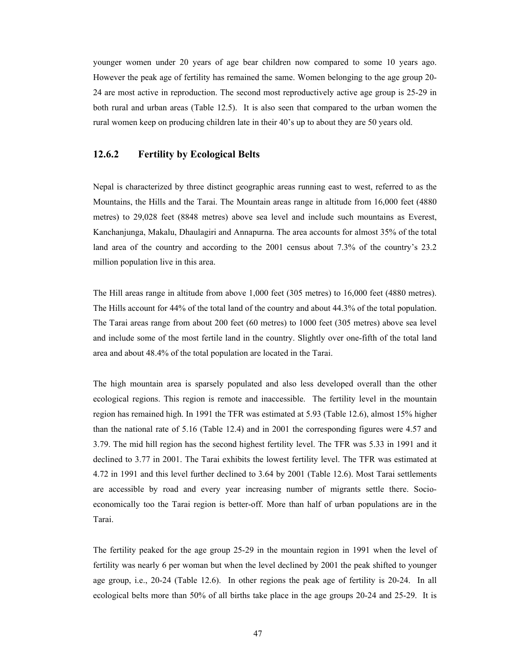younger women under 20 years of age bear children now compared to some 10 years ago. However the peak age of fertility has remained the same. Women belonging to the age group 20- 24 are most active in reproduction. The second most reproductively active age group is 25-29 in both rural and urban areas (Table 12.5). It is also seen that compared to the urban women the rural women keep on producing children late in their 40's up to about they are 50 years old.

#### **12.6.2 Fertility by Ecological Belts**

Nepal is characterized by three distinct geographic areas running east to west, referred to as the Mountains, the Hills and the Tarai. The Mountain areas range in altitude from 16,000 feet (4880 metres) to 29,028 feet (8848 metres) above sea level and include such mountains as Everest, Kanchanjunga, Makalu, Dhaulagiri and Annapurna. The area accounts for almost 35% of the total land area of the country and according to the 2001 census about 7.3% of the country's 23.2 million population live in this area.

The Hill areas range in altitude from above 1,000 feet (305 metres) to 16,000 feet (4880 metres). The Hills account for 44% of the total land of the country and about 44.3% of the total population. The Tarai areas range from about 200 feet (60 metres) to 1000 feet (305 metres) above sea level and include some of the most fertile land in the country. Slightly over one-fifth of the total land area and about 48.4% of the total population are located in the Tarai.

The high mountain area is sparsely populated and also less developed overall than the other ecological regions. This region is remote and inaccessible. The fertility level in the mountain region has remained high. In 1991 the TFR was estimated at 5.93 (Table 12.6), almost 15% higher than the national rate of 5.16 (Table 12.4) and in 2001 the corresponding figures were 4.57 and 3.79. The mid hill region has the second highest fertility level. The TFR was 5.33 in 1991 and it declined to 3.77 in 2001. The Tarai exhibits the lowest fertility level. The TFR was estimated at 4.72 in 1991 and this level further declined to 3.64 by 2001 (Table 12.6). Most Tarai settlements are accessible by road and every year increasing number of migrants settle there. Socioeconomically too the Tarai region is better-off. More than half of urban populations are in the Tarai.

The fertility peaked for the age group 25-29 in the mountain region in 1991 when the level of fertility was nearly 6 per woman but when the level declined by 2001 the peak shifted to younger age group, i.e., 20-24 (Table 12.6). In other regions the peak age of fertility is 20-24. In all ecological belts more than 50% of all births take place in the age groups 20-24 and 25-29. It is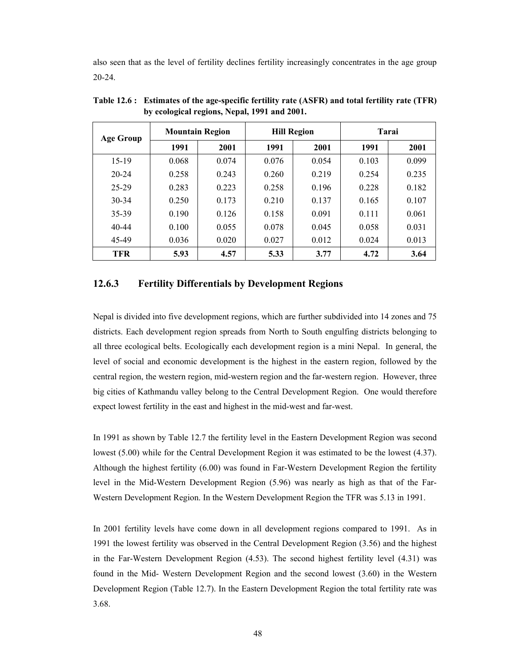also seen that as the level of fertility declines fertility increasingly concentrates in the age group 20-24.

| <b>Age Group</b> |       | <b>Mountain Region</b> |       | <b>Hill Region</b> | <b>Tarai</b> |       |  |
|------------------|-------|------------------------|-------|--------------------|--------------|-------|--|
|                  | 1991  | 2001                   | 1991  | 2001               | 1991         | 2001  |  |
| $15-19$          | 0.068 | 0.074                  | 0.076 | 0.054              | 0.103        | 0.099 |  |
| $20 - 24$        | 0.258 | 0.243                  | 0.260 | 0.219              | 0.254        | 0.235 |  |
| 25-29            | 0.283 | 0.223                  | 0.258 | 0.196              | 0.228        | 0.182 |  |
| $30 - 34$        | 0.250 | 0.173                  | 0.210 | 0.137              | 0.165        | 0.107 |  |
| 35-39            | 0.190 | 0.126                  | 0.158 | 0.091              | 0.111        | 0.061 |  |
| $40 - 44$        | 0.100 | 0.055                  | 0.078 | 0.045              | 0.058        | 0.031 |  |
| 45-49            | 0.036 | 0.020                  | 0.027 | 0.012              | 0.024        | 0.013 |  |
| <b>TFR</b>       | 5.93  | 4.57                   | 5.33  | 3.77               | 4.72         | 3.64  |  |

**Table 12.6 : Estimates of the age-specific fertility rate (ASFR) and total fertility rate (TFR) by ecological regions, Nepal, 1991 and 2001.** 

#### **12.6.3 Fertility Differentials by Development Regions**

Nepal is divided into five development regions, which are further subdivided into 14 zones and 75 districts. Each development region spreads from North to South engulfing districts belonging to all three ecological belts. Ecologically each development region is a mini Nepal. In general, the level of social and economic development is the highest in the eastern region, followed by the central region, the western region, mid-western region and the far-western region. However, three big cities of Kathmandu valley belong to the Central Development Region. One would therefore expect lowest fertility in the east and highest in the mid-west and far-west.

In 1991 as shown by Table 12.7 the fertility level in the Eastern Development Region was second lowest (5.00) while for the Central Development Region it was estimated to be the lowest (4.37). Although the highest fertility (6.00) was found in Far-Western Development Region the fertility level in the Mid-Western Development Region (5.96) was nearly as high as that of the Far-Western Development Region. In the Western Development Region the TFR was 5.13 in 1991.

In 2001 fertility levels have come down in all development regions compared to 1991. As in 1991 the lowest fertility was observed in the Central Development Region (3.56) and the highest in the Far-Western Development Region (4.53). The second highest fertility level (4.31) was found in the Mid- Western Development Region and the second lowest (3.60) in the Western Development Region (Table 12.7). In the Eastern Development Region the total fertility rate was 3.68.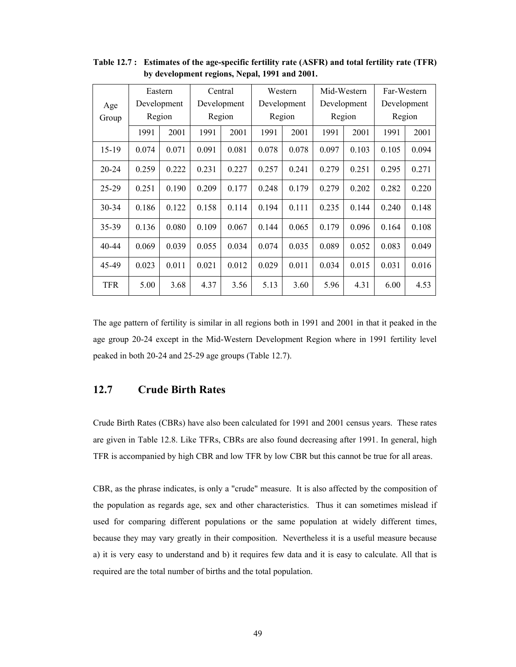|            |       | Eastern     |       | Central<br>Mid-Western<br>Western |       |             |             |        | Far-Western |       |
|------------|-------|-------------|-------|-----------------------------------|-------|-------------|-------------|--------|-------------|-------|
| Age        |       | Development |       | Development                       |       | Development | Development |        | Development |       |
| Group      |       | Region      |       | Region                            |       | Region      |             | Region | Region      |       |
|            | 1991  | 2001        | 1991  | 2001                              | 1991  | 2001        | 1991        | 2001   | 1991        | 2001  |
| $15-19$    | 0.074 | 0.071       | 0.091 | 0.081                             | 0.078 | 0.078       | 0.097       | 0.103  | 0.105       | 0.094 |
| $20 - 24$  | 0.259 | 0.222       | 0.231 | 0.227                             | 0.257 | 0.241       | 0.279       | 0.251  | 0.295       | 0.271 |
| 25-29      | 0.251 | 0.190       | 0.209 | 0.177                             | 0.248 | 0.179       | 0.279       | 0.202  | 0.282       | 0.220 |
| $30 - 34$  | 0.186 | 0.122       | 0.158 | 0.114                             | 0.194 | 0.111       | 0.235       | 0.144  | 0.240       | 0.148 |
| $35 - 39$  | 0.136 | 0.080       | 0.109 | 0.067                             | 0.144 | 0.065       | 0.179       | 0.096  | 0.164       | 0.108 |
| 40-44      | 0.069 | 0.039       | 0.055 | 0.034                             | 0.074 | 0.035       | 0.089       | 0.052  | 0.083       | 0.049 |
| 45-49      | 0.023 | 0.011       | 0.021 | 0.012                             | 0.029 | 0.011       | 0.034       | 0.015  | 0.031       | 0.016 |
| <b>TFR</b> | 5.00  | 3.68        | 4.37  | 3.56                              | 5.13  | 3.60        | 5.96        | 4.31   | 6.00        | 4.53  |

**Table 12.7 : Estimates of the age-specific fertility rate (ASFR) and total fertility rate (TFR) by development regions, Nepal, 1991 and 2001.** 

The age pattern of fertility is similar in all regions both in 1991 and 2001 in that it peaked in the age group 20-24 except in the Mid-Western Development Region where in 1991 fertility level peaked in both 20-24 and 25-29 age groups (Table 12.7).

# **12.7 Crude Birth Rates**

Crude Birth Rates (CBRs) have also been calculated for 1991 and 2001 census years. These rates are given in Table 12.8. Like TFRs, CBRs are also found decreasing after 1991. In general, high TFR is accompanied by high CBR and low TFR by low CBR but this cannot be true for all areas.

CBR, as the phrase indicates, is only a "crude" measure. It is also affected by the composition of the population as regards age, sex and other characteristics. Thus it can sometimes mislead if used for comparing different populations or the same population at widely different times, because they may vary greatly in their composition. Nevertheless it is a useful measure because a) it is very easy to understand and b) it requires few data and it is easy to calculate. All that is required are the total number of births and the total population.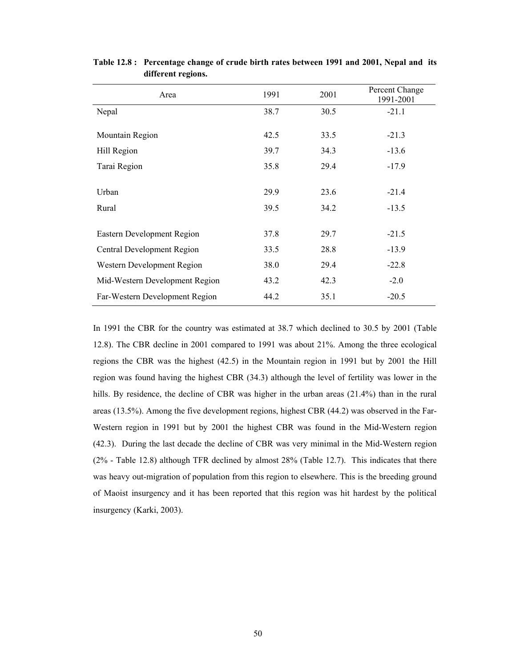| Area                           | 1991 | 2001 | Percent Change<br>1991-2001 |
|--------------------------------|------|------|-----------------------------|
| Nepal                          | 38.7 | 30.5 | $-21.1$                     |
| Mountain Region                | 42.5 | 33.5 | $-21.3$                     |
| Hill Region                    | 39.7 | 34.3 | $-13.6$                     |
| Tarai Region                   | 35.8 | 29.4 | $-17.9$                     |
|                                |      |      |                             |
| Urban                          | 29.9 | 23.6 | $-21.4$                     |
| Rural                          | 39.5 | 34.2 | $-13.5$                     |
|                                |      |      |                             |
| Eastern Development Region     | 37.8 | 29.7 | $-21.5$                     |
| Central Development Region     | 33.5 | 28.8 | $-13.9$                     |
| Western Development Region     | 38.0 | 29.4 | $-22.8$                     |
| Mid-Western Development Region | 43.2 | 42.3 | $-2.0$                      |
| Far-Western Development Region | 44.2 | 35.1 | $-20.5$                     |

**Table 12.8 : Percentage change of crude birth rates between 1991 and 2001, Nepal and its different regions.** 

In 1991 the CBR for the country was estimated at 38.7 which declined to 30.5 by 2001 (Table 12.8). The CBR decline in 2001 compared to 1991 was about 21%. Among the three ecological regions the CBR was the highest (42.5) in the Mountain region in 1991 but by 2001 the Hill region was found having the highest CBR (34.3) although the level of fertility was lower in the hills. By residence, the decline of CBR was higher in the urban areas (21.4%) than in the rural areas (13.5%). Among the five development regions, highest CBR (44.2) was observed in the Far-Western region in 1991 but by 2001 the highest CBR was found in the Mid-Western region (42.3). During the last decade the decline of CBR was very minimal in the Mid-Western region (2% - Table 12.8) although TFR declined by almost 28% (Table 12.7). This indicates that there was heavy out-migration of population from this region to elsewhere. This is the breeding ground of Maoist insurgency and it has been reported that this region was hit hardest by the political insurgency (Karki, 2003).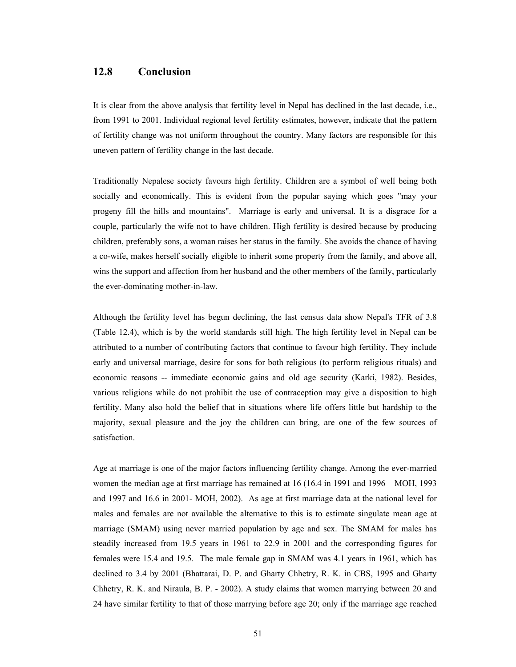### **12.8 Conclusion**

It is clear from the above analysis that fertility level in Nepal has declined in the last decade, i.e., from 1991 to 2001. Individual regional level fertility estimates, however, indicate that the pattern of fertility change was not uniform throughout the country. Many factors are responsible for this uneven pattern of fertility change in the last decade.

Traditionally Nepalese society favours high fertility. Children are a symbol of well being both socially and economically. This is evident from the popular saying which goes "may your progeny fill the hills and mountains". Marriage is early and universal. It is a disgrace for a couple, particularly the wife not to have children. High fertility is desired because by producing children, preferably sons, a woman raises her status in the family. She avoids the chance of having a co-wife, makes herself socially eligible to inherit some property from the family, and above all, wins the support and affection from her husband and the other members of the family, particularly the ever-dominating mother-in-law.

Although the fertility level has begun declining, the last census data show Nepal's TFR of 3.8 (Table 12.4), which is by the world standards still high. The high fertility level in Nepal can be attributed to a number of contributing factors that continue to favour high fertility. They include early and universal marriage, desire for sons for both religious (to perform religious rituals) and economic reasons -- immediate economic gains and old age security (Karki, 1982). Besides, various religions while do not prohibit the use of contraception may give a disposition to high fertility. Many also hold the belief that in situations where life offers little but hardship to the majority, sexual pleasure and the joy the children can bring, are one of the few sources of satisfaction.

Age at marriage is one of the major factors influencing fertility change. Among the ever-married women the median age at first marriage has remained at 16 (16.4 in 1991 and 1996 – MOH, 1993 and 1997 and 16.6 in 2001- MOH, 2002). As age at first marriage data at the national level for males and females are not available the alternative to this is to estimate singulate mean age at marriage (SMAM) using never married population by age and sex. The SMAM for males has steadily increased from 19.5 years in 1961 to 22.9 in 2001 and the corresponding figures for females were 15.4 and 19.5. The male female gap in SMAM was 4.1 years in 1961, which has declined to 3.4 by 2001 (Bhattarai, D. P. and Gharty Chhetry, R. K. in CBS, 1995 and Gharty Chhetry, R. K. and Niraula, B. P. - 2002). A study claims that women marrying between 20 and 24 have similar fertility to that of those marrying before age 20; only if the marriage age reached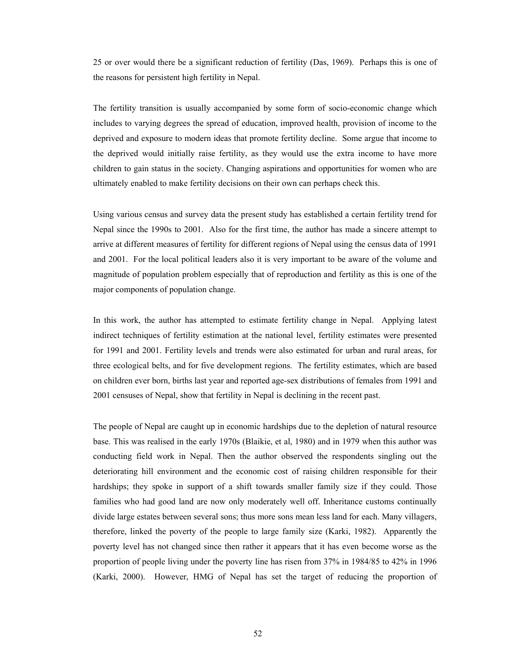25 or over would there be a significant reduction of fertility (Das, 1969). Perhaps this is one of the reasons for persistent high fertility in Nepal.

The fertility transition is usually accompanied by some form of socio-economic change which includes to varying degrees the spread of education, improved health, provision of income to the deprived and exposure to modern ideas that promote fertility decline. Some argue that income to the deprived would initially raise fertility, as they would use the extra income to have more children to gain status in the society. Changing aspirations and opportunities for women who are ultimately enabled to make fertility decisions on their own can perhaps check this.

Using various census and survey data the present study has established a certain fertility trend for Nepal since the 1990s to 2001. Also for the first time, the author has made a sincere attempt to arrive at different measures of fertility for different regions of Nepal using the census data of 1991 and 2001. For the local political leaders also it is very important to be aware of the volume and magnitude of population problem especially that of reproduction and fertility as this is one of the major components of population change.

In this work, the author has attempted to estimate fertility change in Nepal. Applying latest indirect techniques of fertility estimation at the national level, fertility estimates were presented for 1991 and 2001. Fertility levels and trends were also estimated for urban and rural areas, for three ecological belts, and for five development regions. The fertility estimates, which are based on children ever born, births last year and reported age-sex distributions of females from 1991 and 2001 censuses of Nepal, show that fertility in Nepal is declining in the recent past.

The people of Nepal are caught up in economic hardships due to the depletion of natural resource base. This was realised in the early 1970s (Blaikie, et al, 1980) and in 1979 when this author was conducting field work in Nepal. Then the author observed the respondents singling out the deteriorating hill environment and the economic cost of raising children responsible for their hardships; they spoke in support of a shift towards smaller family size if they could. Those families who had good land are now only moderately well off. Inheritance customs continually divide large estates between several sons; thus more sons mean less land for each. Many villagers, therefore, linked the poverty of the people to large family size (Karki, 1982). Apparently the poverty level has not changed since then rather it appears that it has even become worse as the proportion of people living under the poverty line has risen from 37% in 1984/85 to 42% in 1996 (Karki, 2000). However, HMG of Nepal has set the target of reducing the proportion of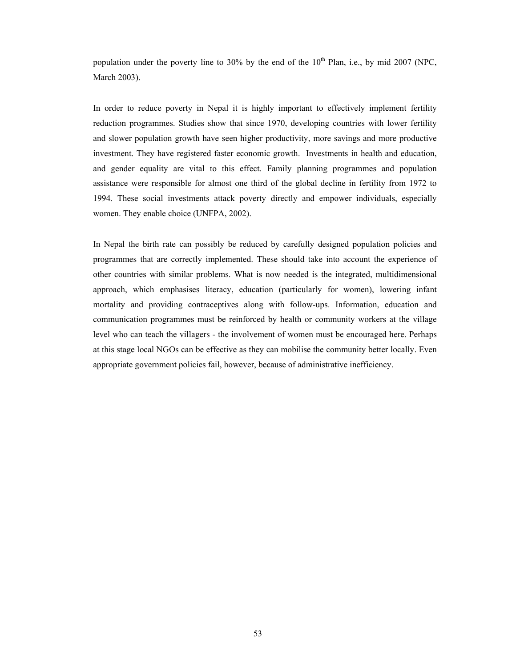population under the poverty line to 30% by the end of the  $10<sup>th</sup>$  Plan, i.e., by mid 2007 (NPC, March 2003).

In order to reduce poverty in Nepal it is highly important to effectively implement fertility reduction programmes. Studies show that since 1970, developing countries with lower fertility and slower population growth have seen higher productivity, more savings and more productive investment. They have registered faster economic growth. Investments in health and education, and gender equality are vital to this effect. Family planning programmes and population assistance were responsible for almost one third of the global decline in fertility from 1972 to 1994. These social investments attack poverty directly and empower individuals, especially women. They enable choice (UNFPA, 2002).

In Nepal the birth rate can possibly be reduced by carefully designed population policies and programmes that are correctly implemented. These should take into account the experience of other countries with similar problems. What is now needed is the integrated, multidimensional approach, which emphasises literacy, education (particularly for women), lowering infant mortality and providing contraceptives along with follow-ups. Information, education and communication programmes must be reinforced by health or community workers at the village level who can teach the villagers - the involvement of women must be encouraged here. Perhaps at this stage local NGOs can be effective as they can mobilise the community better locally. Even appropriate government policies fail, however, because of administrative inefficiency.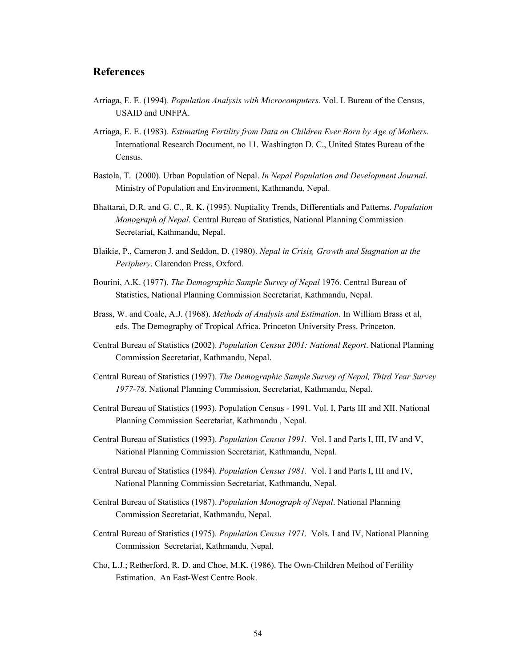# **References**

- Arriaga, E. E. (1994). *Population Analysis with Microcomputers*. Vol. I. Bureau of the Census, USAID and UNFPA.
- Arriaga, E. E. (1983). *Estimating Fertility from Data on Children Ever Born by Age of Mothers*. International Research Document, no 11. Washington D. C., United States Bureau of the Census.
- Bastola, T. (2000). Urban Population of Nepal. *In Nepal Population and Development Journal*. Ministry of Population and Environment, Kathmandu, Nepal.
- Bhattarai, D.R. and G. C., R. K. (1995). Nuptiality Trends, Differentials and Patterns. *Population Monograph of Nepal*. Central Bureau of Statistics, National Planning Commission Secretariat, Kathmandu, Nepal.
- Blaikie, P., Cameron J. and Seddon, D. (1980). *Nepal in Crisis, Growth and Stagnation at the Periphery*. Clarendon Press, Oxford.
- Bourini, A.K. (1977). *The Demographic Sample Survey of Nepal* 1976. Central Bureau of Statistics, National Planning Commission Secretariat, Kathmandu, Nepal.
- Brass, W. and Coale, A.J. (1968). *Methods of Analysis and Estimation*. In William Brass et al, eds. The Demography of Tropical Africa. Princeton University Press. Princeton.
- Central Bureau of Statistics (2002). *Population Census 2001: National Report*. National Planning Commission Secretariat, Kathmandu, Nepal.
- Central Bureau of Statistics (1997). *The Demographic Sample Survey of Nepal, Third Year Survey 1977-78*. National Planning Commission, Secretariat, Kathmandu, Nepal.
- Central Bureau of Statistics (1993). Population Census 1991. Vol. I, Parts III and XII. National Planning Commission Secretariat, Kathmandu , Nepal.
- Central Bureau of Statistics (1993). *Population Census 1991*. Vol. I and Parts I, III, IV and V, National Planning Commission Secretariat, Kathmandu, Nepal.
- Central Bureau of Statistics (1984). *Population Census 1981*. Vol. I and Parts I, III and IV, National Planning Commission Secretariat, Kathmandu, Nepal.
- Central Bureau of Statistics (1987). *Population Monograph of Nepal*. National Planning Commission Secretariat, Kathmandu, Nepal.
- Central Bureau of Statistics (1975). *Population Census 1971*. Vols. I and IV, National Planning Commission Secretariat, Kathmandu, Nepal.
- Cho, L.J.; Retherford, R. D. and Choe, M.K. (1986). The Own-Children Method of Fertility Estimation. An East-West Centre Book.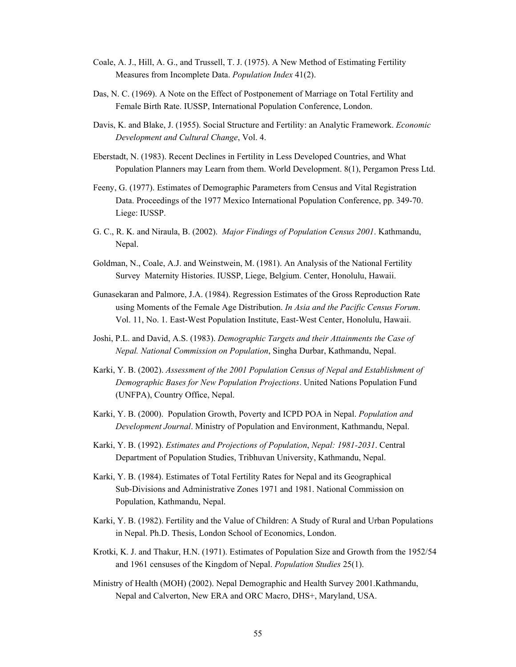- Coale, A. J., Hill, A. G., and Trussell, T. J. (1975). A New Method of Estimating Fertility Measures from Incomplete Data. *Population Index* 41(2).
- Das, N. C. (1969). A Note on the Effect of Postponement of Marriage on Total Fertility and Female Birth Rate. IUSSP, International Population Conference, London.
- Davis, K. and Blake, J. (1955). Social Structure and Fertility: an Analytic Framework. *Economic Development and Cultural Change*, Vol. 4.
- Eberstadt, N. (1983). Recent Declines in Fertility in Less Developed Countries, and What Population Planners may Learn from them. World Development. 8(1), Pergamon Press Ltd.
- Feeny, G. (1977). Estimates of Demographic Parameters from Census and Vital Registration Data. Proceedings of the 1977 Mexico International Population Conference, pp. 349-70. Liege: IUSSP.
- G. C., R. K. and Niraula, B. (2002). *Major Findings of Population Census 2001*. Kathmandu, Nepal.
- Goldman, N., Coale, A.J. and Weinstwein, M. (1981). An Analysis of the National Fertility Survey Maternity Histories. IUSSP, Liege, Belgium. Center, Honolulu, Hawaii.
- Gunasekaran and Palmore, J.A. (1984). Regression Estimates of the Gross Reproduction Rate using Moments of the Female Age Distribution. *In Asia and the Pacific Census Forum*. Vol. 11, No. 1. East-West Population Institute, East-West Center, Honolulu, Hawaii.
- Joshi, P.L. and David, A.S. (1983). *Demographic Targets and their Attainments the Case of Nepal. National Commission on Population*, Singha Durbar, Kathmandu, Nepal.
- Karki, Y. B. (2002). *Assessment of the 2001 Population Census of Nepal and Establishment of Demographic Bases for New Population Projections*. United Nations Population Fund (UNFPA), Country Office, Nepal.
- Karki, Y. B. (2000). Population Growth, Poverty and ICPD POA in Nepal. *Population and Development Journal*. Ministry of Population and Environment, Kathmandu, Nepal.
- Karki, Y. B. (1992). *Estimates and Projections of Population*, *Nepal: 1981-2031*. Central Department of Population Studies, Tribhuvan University, Kathmandu, Nepal.
- Karki, Y. B. (1984). Estimates of Total Fertility Rates for Nepal and its Geographical Sub-Divisions and Administrative Zones 1971 and 1981. National Commission on Population, Kathmandu, Nepal.
- Karki, Y. B. (1982). Fertility and the Value of Children: A Study of Rural and Urban Populations in Nepal. Ph.D. Thesis, London School of Economics, London.
- Krotki, K. J. and Thakur, H.N. (1971). Estimates of Population Size and Growth from the 1952/54 and 1961 censuses of the Kingdom of Nepal. *Population Studies* 25(1).
- Ministry of Health (MOH) (2002). Nepal Demographic and Health Survey 2001.Kathmandu, Nepal and Calverton, New ERA and ORC Macro, DHS+, Maryland, USA.